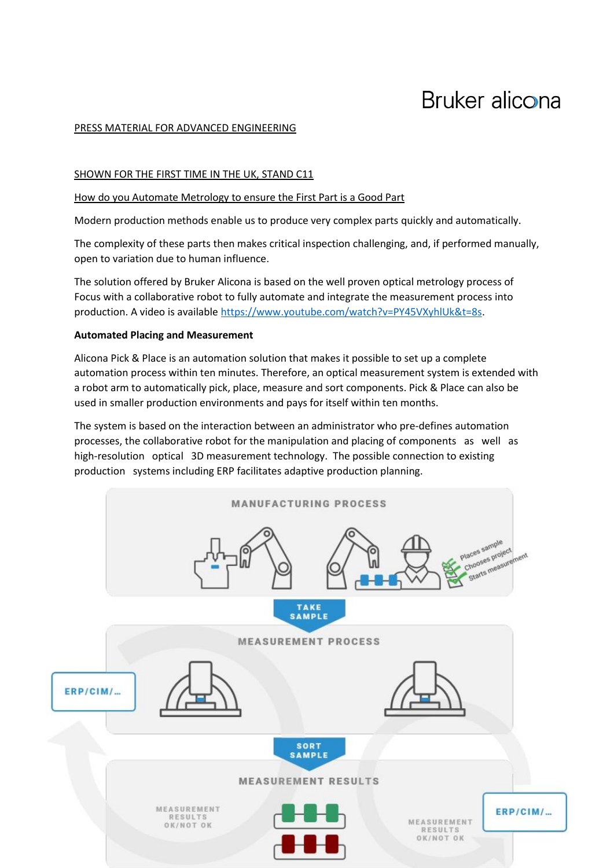# Bruker alicona

### PRESS MATERIAL FOR ADVANCED ENGINEERING

#### SHOWN FOR THE FIRST TIME IN THE UK, STAND C11

# How do you Automate Metrology to ensure the First Part is a Good Part

Modern production methods enable us to produce very complex parts quickly and automatically.

The complexity of these parts then makes critical inspection challenging, and, if performed manually, open to variation due to human influence.

The solution offered by Bruker Alicona is based on the well proven optical metrology process of Focus with a collaborative robot to fully automate and integrate the measurement process into production. A video is available [https://www.youtube.com/watch?v=PY45VXyhlUk&t=8s.](https://www.youtube.com/watch?v=PY45VXyhlUk&t=8s)

#### **Automated Placing and Measurement**

Alicona Pick & Place is an automation solution that makes it possible to set up a complete automation process within ten minutes. Therefore, an optical measurement system is extended with a robot arm to automatically pick, place, measure and sort components. Pick & Place can also be used in smaller production environments and pays for itself within ten months.

The system is based on the interaction between an administrator who pre-defines automation processes, the collaborative robot for the manipulation and placing of components as well as high-resolution optical 3D measurement technology. The possible connection to existing production systems including ERP facilitates adaptive production planning.